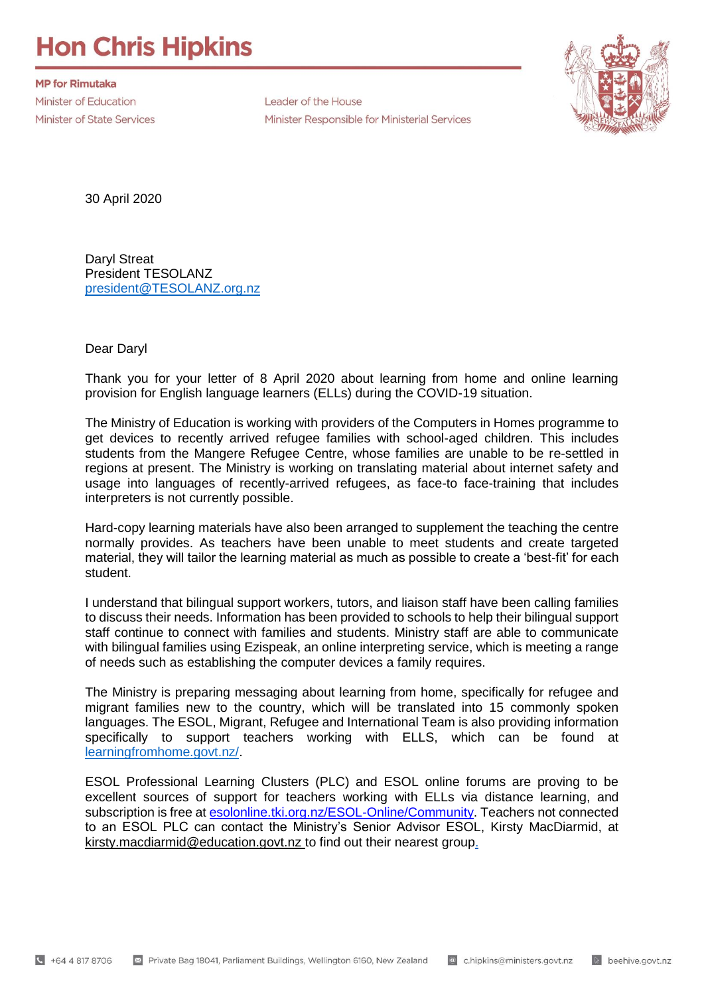## **Hon Chris Hipkins**

**MP for Rimutaka** Minister of Education **Minister of State Services** 

Leader of the House Minister Responsible for Ministerial Services



30 April 2020

Daryl Streat President TESOLANZ [president@TESOLANZ.org.nz](mailto:president@TESOLANZ.org.nz)

Dear Daryl

Thank you for your letter of 8 April 2020 about learning from home and online learning provision for English language learners (ELLs) during the COVID-19 situation.

The Ministry of Education is working with providers of the Computers in Homes programme to get devices to recently arrived refugee families with school-aged children. This includes students from the Mangere Refugee Centre, whose families are unable to be re-settled in regions at present. The Ministry is working on translating material about internet safety and usage into languages of recently-arrived refugees, as face-to face-training that includes interpreters is not currently possible.

Hard-copy learning materials have also been arranged to supplement the teaching the centre normally provides. As teachers have been unable to meet students and create targeted material, they will tailor the learning material as much as possible to create a 'best-fit' for each student.

I understand that bilingual support workers, tutors, and liaison staff have been calling families to discuss their needs. Information has been provided to schools to help their bilingual support staff continue to connect with families and students. Ministry staff are able to communicate with bilingual families using Ezispeak, an online interpreting service, which is meeting a range of needs such as establishing the computer devices a family requires.

The Ministry is preparing messaging about learning from home, specifically for refugee and migrant families new to the country, which will be translated into 15 commonly spoken languages. The ESOL, Migrant, Refugee and International Team is also providing information specifically to support teachers working with ELLS, which can be found at [learningfromhome.govt.nz/.](https://learningfromhome.govt.nz/)

ESOL Professional Learning Clusters (PLC) and ESOL online forums are proving to be excellent sources of support for teachers working with ELLs via distance learning, and subscription is free at [esolonline.tki.org.nz/ESOL-Online/Community.](https://esolonline.tki.org.nz/ESOL-Online/Community) Teachers not connected to an ESOL PLC can contact the Ministry's Senior Advisor ESOL, Kirsty MacDiarmid, at [kirsty.macdiarmid@education.govt.nz](mailto:kirsty.macdiarmid@education.govt.nz) to find out their nearest group.